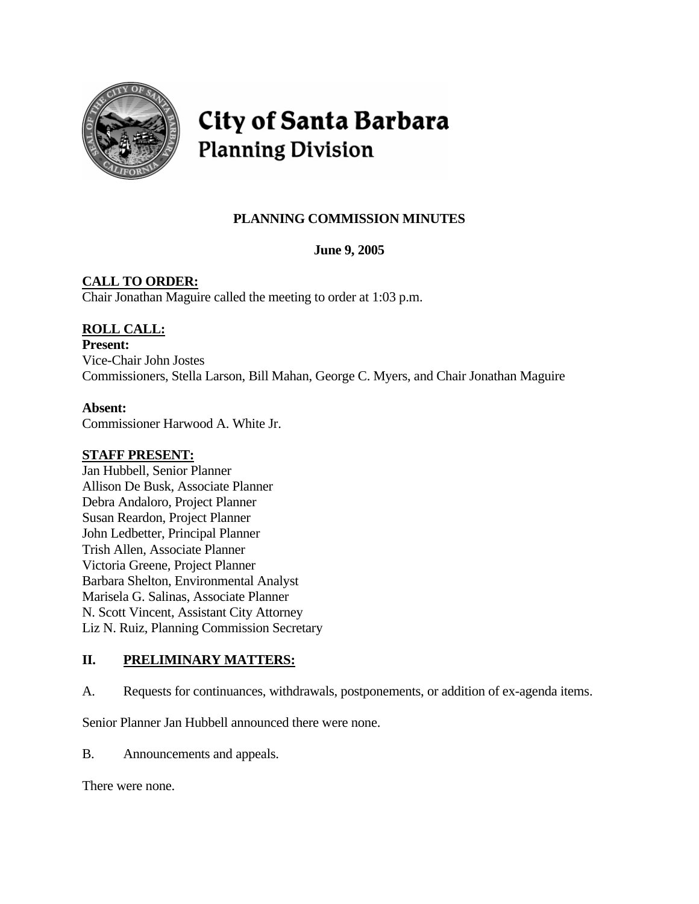

# City of Santa Barbara **Planning Division**

# **PLANNING COMMISSION MINUTES**

**June 9, 2005** 

# **CALL TO ORDER:**

Chair Jonathan Maguire called the meeting to order at 1:03 p.m.

# **ROLL CALL:**

**Present:** Vice-Chair John Jostes Commissioners, Stella Larson, Bill Mahan, George C. Myers, and Chair Jonathan Maguire

# **Absent:**

Commissioner Harwood A. White Jr.

# **STAFF PRESENT:**

Jan Hubbell, Senior Planner Allison De Busk, Associate Planner Debra Andaloro, Project Planner Susan Reardon, Project Planner John Ledbetter, Principal Planner Trish Allen, Associate Planner Victoria Greene, Project Planner Barbara Shelton, Environmental Analyst Marisela G. Salinas, Associate Planner N. Scott Vincent, Assistant City Attorney Liz N. Ruiz, Planning Commission Secretary

# **II. PRELIMINARY MATTERS:**

A. Requests for continuances, withdrawals, postponements, or addition of ex-agenda items.

Senior Planner Jan Hubbell announced there were none.

B. Announcements and appeals.

There were none.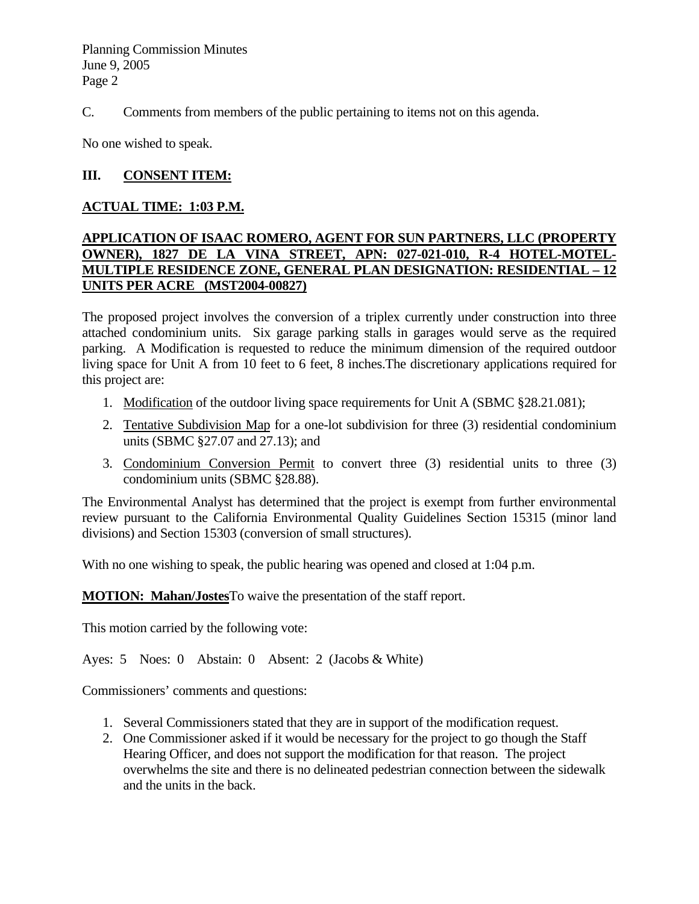C. Comments from members of the public pertaining to items not on this agenda.

No one wished to speak.

#### **III. CONSENT ITEM:**

#### **ACTUAL TIME: 1:03 P.M.**

#### **APPLICATION OF ISAAC ROMERO, AGENT FOR SUN PARTNERS, LLC (PROPERTY OWNER), 1827 DE LA VINA STREET, APN: 027-021-010, R-4 HOTEL-MOTEL-MULTIPLE RESIDENCE ZONE, GENERAL PLAN DESIGNATION: RESIDENTIAL – 12 UNITS PER ACRE (MST2004-00827)**

The proposed project involves the conversion of a triplex currently under construction into three attached condominium units. Six garage parking stalls in garages would serve as the required parking. A Modification is requested to reduce the minimum dimension of the required outdoor living space for Unit A from 10 feet to 6 feet, 8 inches.The discretionary applications required for this project are:

- 1. Modification of the outdoor living space requirements for Unit A (SBMC §28.21.081);
- 2. Tentative Subdivision Map for a one-lot subdivision for three (3) residential condominium units (SBMC §27.07 and 27.13); and
- 3. Condominium Conversion Permit to convert three (3) residential units to three (3) condominium units (SBMC §28.88).

The Environmental Analyst has determined that the project is exempt from further environmental review pursuant to the California Environmental Quality Guidelines Section 15315 (minor land divisions) and Section 15303 (conversion of small structures).

With no one wishing to speak, the public hearing was opened and closed at 1:04 p.m.

**MOTION: Mahan/Jostes**To waive the presentation of the staff report.

This motion carried by the following vote:

Ayes: 5 Noes: 0 Abstain: 0 Absent: 2 (Jacobs & White)

- 1. Several Commissioners stated that they are in support of the modification request.
- 2. One Commissioner asked if it would be necessary for the project to go though the Staff Hearing Officer, and does not support the modification for that reason. The project overwhelms the site and there is no delineated pedestrian connection between the sidewalk and the units in the back.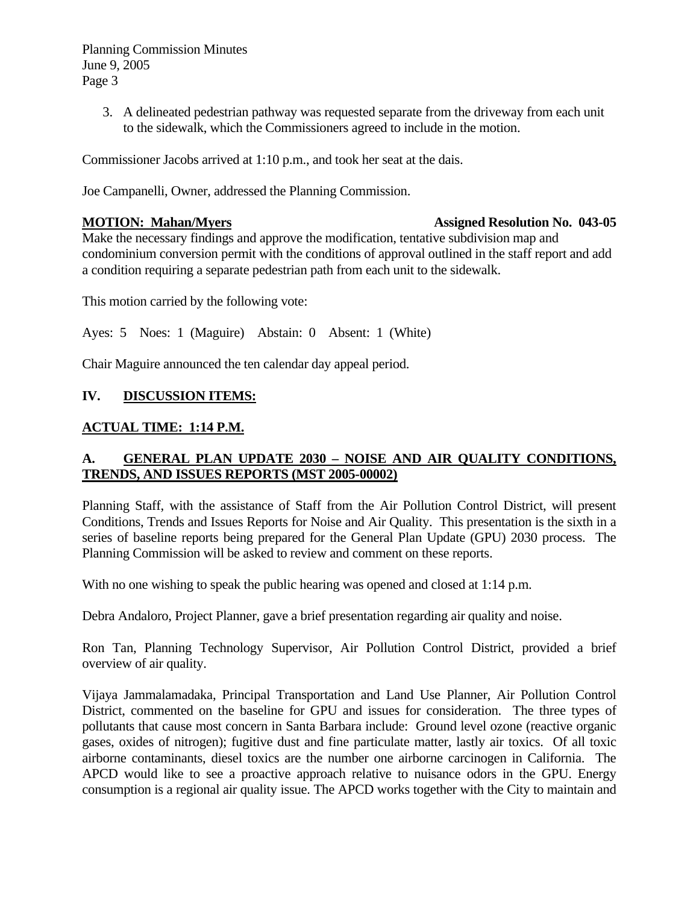> 3. A delineated pedestrian pathway was requested separate from the driveway from each unit to the sidewalk, which the Commissioners agreed to include in the motion.

Commissioner Jacobs arrived at 1:10 p.m., and took her seat at the dais.

Joe Campanelli, Owner, addressed the Planning Commission.

#### **MOTION: Mahan/Myers Assigned Resolution No. 043-05**

Make the necessary findings and approve the modification, tentative subdivision map and condominium conversion permit with the conditions of approval outlined in the staff report and add a condition requiring a separate pedestrian path from each unit to the sidewalk.

This motion carried by the following vote:

Ayes: 5 Noes: 1 (Maguire) Abstain: 0 Absent: 1 (White)

Chair Maguire announced the ten calendar day appeal period.

#### **IV. DISCUSSION ITEMS:**

#### **ACTUAL TIME: 1:14 P.M.**

# **A. GENERAL PLAN UPDATE 2030 – NOISE AND AIR QUALITY CONDITIONS, TRENDS, AND ISSUES REPORTS (MST 2005-00002)**

Planning Staff, with the assistance of Staff from the Air Pollution Control District, will present Conditions, Trends and Issues Reports for Noise and Air Quality. This presentation is the sixth in a series of baseline reports being prepared for the General Plan Update (GPU) 2030 process. The Planning Commission will be asked to review and comment on these reports.

With no one wishing to speak the public hearing was opened and closed at 1:14 p.m.

Debra Andaloro, Project Planner, gave a brief presentation regarding air quality and noise.

Ron Tan, Planning Technology Supervisor, Air Pollution Control District, provided a brief overview of air quality.

Vijaya Jammalamadaka, Principal Transportation and Land Use Planner, Air Pollution Control District, commented on the baseline for GPU and issues for consideration. The three types of pollutants that cause most concern in Santa Barbara include: Ground level ozone (reactive organic gases, oxides of nitrogen); fugitive dust and fine particulate matter, lastly air toxics. Of all toxic airborne contaminants, diesel toxics are the number one airborne carcinogen in California. The APCD would like to see a proactive approach relative to nuisance odors in the GPU. Energy consumption is a regional air quality issue. The APCD works together with the City to maintain and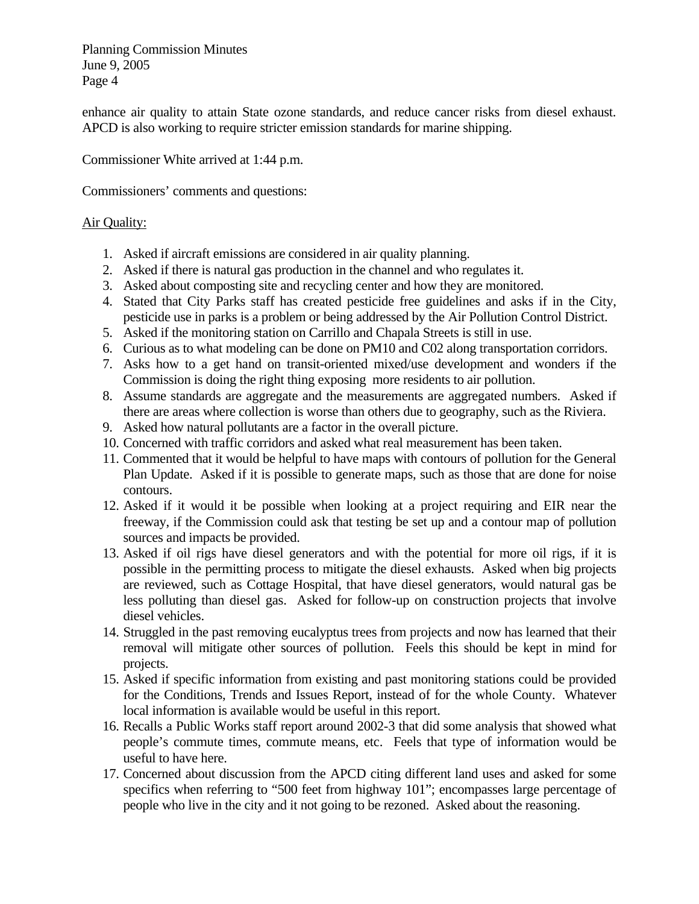enhance air quality to attain State ozone standards, and reduce cancer risks from diesel exhaust. APCD is also working to require stricter emission standards for marine shipping.

Commissioner White arrived at 1:44 p.m.

Commissioners' comments and questions:

#### Air Quality:

- 1. Asked if aircraft emissions are considered in air quality planning.
- 2. Asked if there is natural gas production in the channel and who regulates it.
- 3. Asked about composting site and recycling center and how they are monitored.
- 4. Stated that City Parks staff has created pesticide free guidelines and asks if in the City, pesticide use in parks is a problem or being addressed by the Air Pollution Control District.
- 5. Asked if the monitoring station on Carrillo and Chapala Streets is still in use.
- 6. Curious as to what modeling can be done on PM10 and C02 along transportation corridors.
- 7. Asks how to a get hand on transit-oriented mixed/use development and wonders if the Commission is doing the right thing exposing more residents to air pollution.
- 8. Assume standards are aggregate and the measurements are aggregated numbers. Asked if there are areas where collection is worse than others due to geography, such as the Riviera.
- 9. Asked how natural pollutants are a factor in the overall picture.
- 10. Concerned with traffic corridors and asked what real measurement has been taken.
- 11. Commented that it would be helpful to have maps with contours of pollution for the General Plan Update. Asked if it is possible to generate maps, such as those that are done for noise contours.
- 12. Asked if it would it be possible when looking at a project requiring and EIR near the freeway, if the Commission could ask that testing be set up and a contour map of pollution sources and impacts be provided.
- 13. Asked if oil rigs have diesel generators and with the potential for more oil rigs, if it is possible in the permitting process to mitigate the diesel exhausts. Asked when big projects are reviewed, such as Cottage Hospital, that have diesel generators, would natural gas be less polluting than diesel gas. Asked for follow-up on construction projects that involve diesel vehicles.
- 14. Struggled in the past removing eucalyptus trees from projects and now has learned that their removal will mitigate other sources of pollution. Feels this should be kept in mind for projects.
- 15. Asked if specific information from existing and past monitoring stations could be provided for the Conditions, Trends and Issues Report, instead of for the whole County. Whatever local information is available would be useful in this report.
- 16. Recalls a Public Works staff report around 2002-3 that did some analysis that showed what people's commute times, commute means, etc. Feels that type of information would be useful to have here.
- 17. Concerned about discussion from the APCD citing different land uses and asked for some specifics when referring to "500 feet from highway 101"; encompasses large percentage of people who live in the city and it not going to be rezoned. Asked about the reasoning.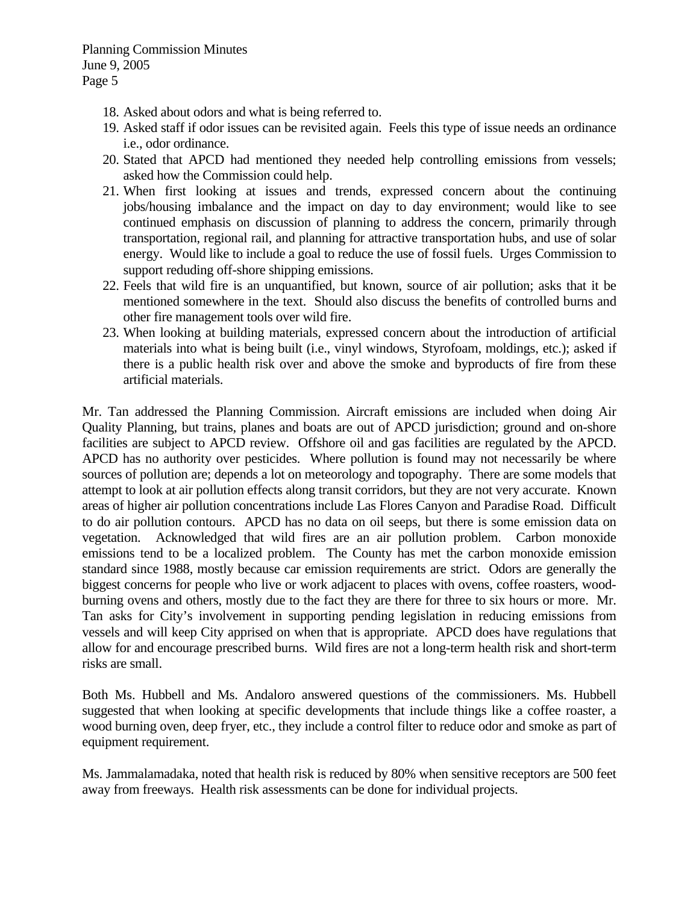- 18. Asked about odors and what is being referred to.
- 19. Asked staff if odor issues can be revisited again. Feels this type of issue needs an ordinance i.e., odor ordinance.
- 20. Stated that APCD had mentioned they needed help controlling emissions from vessels; asked how the Commission could help.
- 21. When first looking at issues and trends, expressed concern about the continuing jobs/housing imbalance and the impact on day to day environment; would like to see continued emphasis on discussion of planning to address the concern, primarily through transportation, regional rail, and planning for attractive transportation hubs, and use of solar energy. Would like to include a goal to reduce the use of fossil fuels. Urges Commission to support reduding off-shore shipping emissions.
- 22. Feels that wild fire is an unquantified, but known, source of air pollution; asks that it be mentioned somewhere in the text. Should also discuss the benefits of controlled burns and other fire management tools over wild fire.
- 23. When looking at building materials, expressed concern about the introduction of artificial materials into what is being built (i.e., vinyl windows, Styrofoam, moldings, etc.); asked if there is a public health risk over and above the smoke and byproducts of fire from these artificial materials.

Mr. Tan addressed the Planning Commission. Aircraft emissions are included when doing Air Quality Planning, but trains, planes and boats are out of APCD jurisdiction; ground and on-shore facilities are subject to APCD review. Offshore oil and gas facilities are regulated by the APCD. APCD has no authority over pesticides. Where pollution is found may not necessarily be where sources of pollution are; depends a lot on meteorology and topography. There are some models that attempt to look at air pollution effects along transit corridors, but they are not very accurate. Known areas of higher air pollution concentrations include Las Flores Canyon and Paradise Road. Difficult to do air pollution contours. APCD has no data on oil seeps, but there is some emission data on vegetation. Acknowledged that wild fires are an air pollution problem. Carbon monoxide emissions tend to be a localized problem. The County has met the carbon monoxide emission standard since 1988, mostly because car emission requirements are strict. Odors are generally the biggest concerns for people who live or work adjacent to places with ovens, coffee roasters, woodburning ovens and others, mostly due to the fact they are there for three to six hours or more. Mr. Tan asks for City's involvement in supporting pending legislation in reducing emissions from vessels and will keep City apprised on when that is appropriate. APCD does have regulations that allow for and encourage prescribed burns. Wild fires are not a long-term health risk and short-term risks are small.

Both Ms. Hubbell and Ms. Andaloro answered questions of the commissioners. Ms. Hubbell suggested that when looking at specific developments that include things like a coffee roaster, a wood burning oven, deep fryer, etc., they include a control filter to reduce odor and smoke as part of equipment requirement.

Ms. Jammalamadaka, noted that health risk is reduced by 80% when sensitive receptors are 500 feet away from freeways. Health risk assessments can be done for individual projects.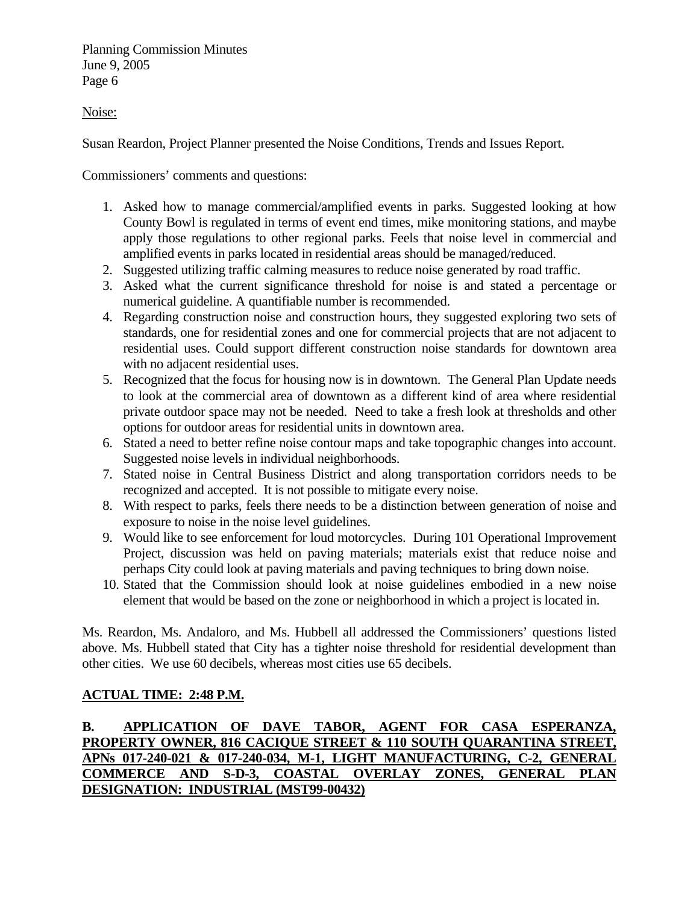Noise:

Susan Reardon, Project Planner presented the Noise Conditions, Trends and Issues Report.

Commissioners' comments and questions:

- 1. Asked how to manage commercial/amplified events in parks. Suggested looking at how County Bowl is regulated in terms of event end times, mike monitoring stations, and maybe apply those regulations to other regional parks. Feels that noise level in commercial and amplified events in parks located in residential areas should be managed/reduced.
- 2. Suggested utilizing traffic calming measures to reduce noise generated by road traffic.
- 3. Asked what the current significance threshold for noise is and stated a percentage or numerical guideline. A quantifiable number is recommended.
- 4. Regarding construction noise and construction hours, they suggested exploring two sets of standards, one for residential zones and one for commercial projects that are not adjacent to residential uses. Could support different construction noise standards for downtown area with no adjacent residential uses.
- 5. Recognized that the focus for housing now is in downtown. The General Plan Update needs to look at the commercial area of downtown as a different kind of area where residential private outdoor space may not be needed. Need to take a fresh look at thresholds and other options for outdoor areas for residential units in downtown area.
- 6. Stated a need to better refine noise contour maps and take topographic changes into account. Suggested noise levels in individual neighborhoods.
- 7. Stated noise in Central Business District and along transportation corridors needs to be recognized and accepted. It is not possible to mitigate every noise.
- 8. With respect to parks, feels there needs to be a distinction between generation of noise and exposure to noise in the noise level guidelines.
- 9. Would like to see enforcement for loud motorcycles. During 101 Operational Improvement Project, discussion was held on paving materials; materials exist that reduce noise and perhaps City could look at paving materials and paving techniques to bring down noise.
- 10. Stated that the Commission should look at noise guidelines embodied in a new noise element that would be based on the zone or neighborhood in which a project is located in.

Ms. Reardon, Ms. Andaloro, and Ms. Hubbell all addressed the Commissioners' questions listed above. Ms. Hubbell stated that City has a tighter noise threshold for residential development than other cities. We use 60 decibels, whereas most cities use 65 decibels.

# **ACTUAL TIME: 2:48 P.M.**

# **B. APPLICATION OF DAVE TABOR, AGENT FOR CASA ESPERANZA, PROPERTY OWNER, 816 CACIQUE STREET & 110 SOUTH QUARANTINA STREET, APNs 017-240-021 & 017-240-034, M-1, LIGHT MANUFACTURING, C-2, GENERAL COMMERCE AND S-D-3, COASTAL OVERLAY ZONES, GENERAL PLAN DESIGNATION: INDUSTRIAL (MST99-00432)**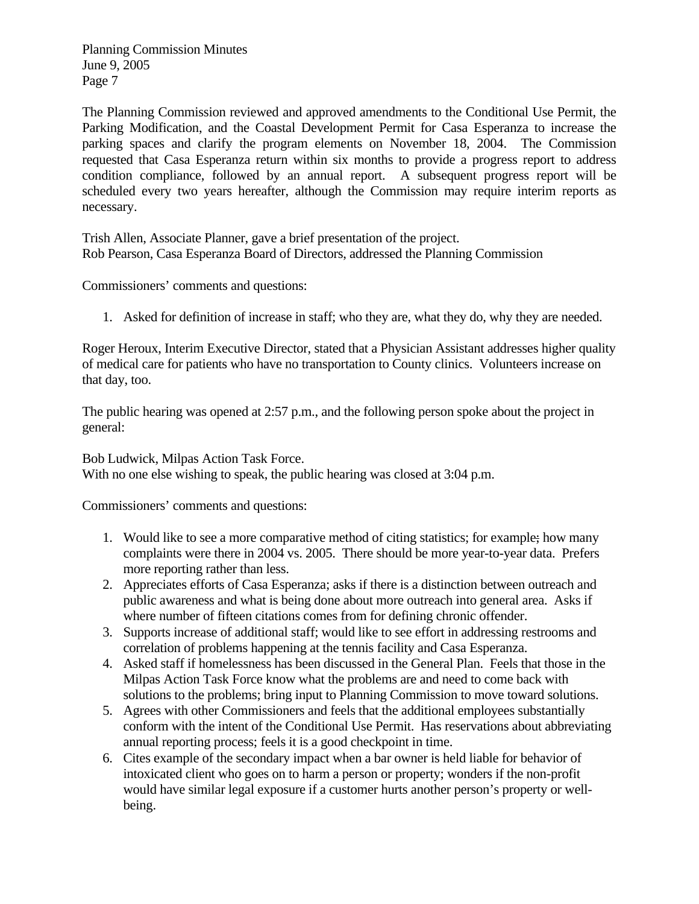The Planning Commission reviewed and approved amendments to the Conditional Use Permit, the Parking Modification, and the Coastal Development Permit for Casa Esperanza to increase the parking spaces and clarify the program elements on November 18, 2004. The Commission requested that Casa Esperanza return within six months to provide a progress report to address condition compliance, followed by an annual report. A subsequent progress report will be scheduled every two years hereafter, although the Commission may require interim reports as necessary.

Trish Allen, Associate Planner, gave a brief presentation of the project. Rob Pearson, Casa Esperanza Board of Directors, addressed the Planning Commission

Commissioners' comments and questions:

1. Asked for definition of increase in staff; who they are, what they do, why they are needed.

Roger Heroux, Interim Executive Director, stated that a Physician Assistant addresses higher quality of medical care for patients who have no transportation to County clinics. Volunteers increase on that day, too.

The public hearing was opened at 2:57 p.m., and the following person spoke about the project in general:

Bob Ludwick, Milpas Action Task Force.

With no one else wishing to speak, the public hearing was closed at 3:04 p.m.

- 1. Would like to see a more comparative method of citing statistics; for example; how many complaints were there in 2004 vs. 2005. There should be more year-to-year data. Prefers more reporting rather than less.
- 2. Appreciates efforts of Casa Esperanza; asks if there is a distinction between outreach and public awareness and what is being done about more outreach into general area. Asks if where number of fifteen citations comes from for defining chronic offender.
- 3. Supports increase of additional staff; would like to see effort in addressing restrooms and correlation of problems happening at the tennis facility and Casa Esperanza.
- 4. Asked staff if homelessness has been discussed in the General Plan. Feels that those in the Milpas Action Task Force know what the problems are and need to come back with solutions to the problems; bring input to Planning Commission to move toward solutions.
- 5. Agrees with other Commissioners and feels that the additional employees substantially conform with the intent of the Conditional Use Permit. Has reservations about abbreviating annual reporting process; feels it is a good checkpoint in time.
- 6. Cites example of the secondary impact when a bar owner is held liable for behavior of intoxicated client who goes on to harm a person or property; wonders if the non-profit would have similar legal exposure if a customer hurts another person's property or wellbeing.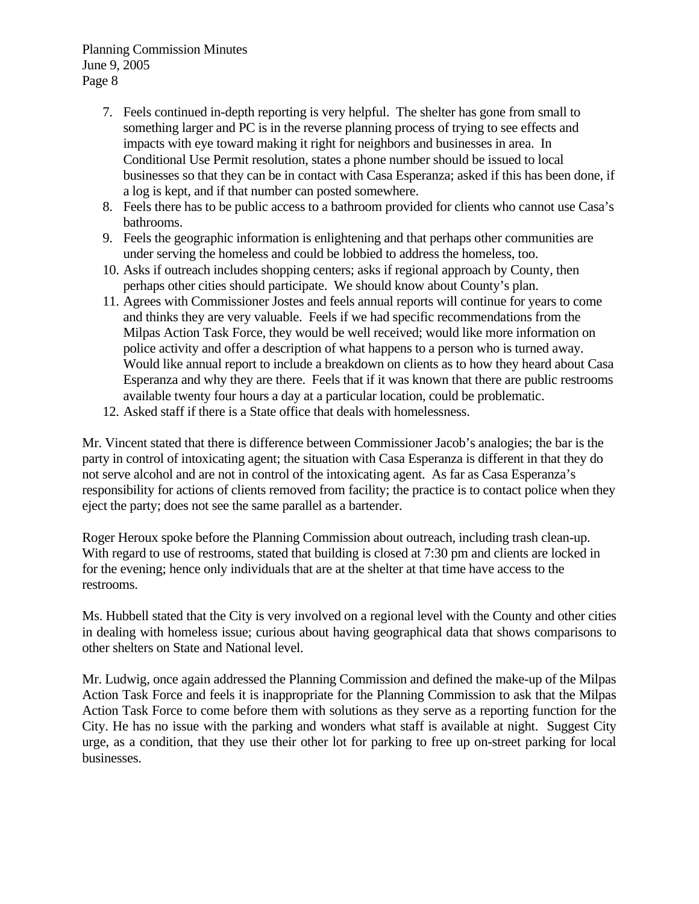- 7. Feels continued in-depth reporting is very helpful. The shelter has gone from small to something larger and PC is in the reverse planning process of trying to see effects and impacts with eye toward making it right for neighbors and businesses in area. In Conditional Use Permit resolution, states a phone number should be issued to local businesses so that they can be in contact with Casa Esperanza; asked if this has been done, if a log is kept, and if that number can posted somewhere.
- 8. Feels there has to be public access to a bathroom provided for clients who cannot use Casa's bathrooms.
- 9. Feels the geographic information is enlightening and that perhaps other communities are under serving the homeless and could be lobbied to address the homeless, too.
- 10. Asks if outreach includes shopping centers; asks if regional approach by County, then perhaps other cities should participate. We should know about County's plan.
- 11. Agrees with Commissioner Jostes and feels annual reports will continue for years to come and thinks they are very valuable. Feels if we had specific recommendations from the Milpas Action Task Force, they would be well received; would like more information on police activity and offer a description of what happens to a person who is turned away. Would like annual report to include a breakdown on clients as to how they heard about Casa Esperanza and why they are there. Feels that if it was known that there are public restrooms available twenty four hours a day at a particular location, could be problematic.
- 12. Asked staff if there is a State office that deals with homelessness.

Mr. Vincent stated that there is difference between Commissioner Jacob's analogies; the bar is the party in control of intoxicating agent; the situation with Casa Esperanza is different in that they do not serve alcohol and are not in control of the intoxicating agent. As far as Casa Esperanza's responsibility for actions of clients removed from facility; the practice is to contact police when they eject the party; does not see the same parallel as a bartender.

Roger Heroux spoke before the Planning Commission about outreach, including trash clean-up. With regard to use of restrooms, stated that building is closed at 7:30 pm and clients are locked in for the evening; hence only individuals that are at the shelter at that time have access to the restrooms.

Ms. Hubbell stated that the City is very involved on a regional level with the County and other cities in dealing with homeless issue; curious about having geographical data that shows comparisons to other shelters on State and National level.

Mr. Ludwig, once again addressed the Planning Commission and defined the make-up of the Milpas Action Task Force and feels it is inappropriate for the Planning Commission to ask that the Milpas Action Task Force to come before them with solutions as they serve as a reporting function for the City. He has no issue with the parking and wonders what staff is available at night. Suggest City urge, as a condition, that they use their other lot for parking to free up on-street parking for local businesses.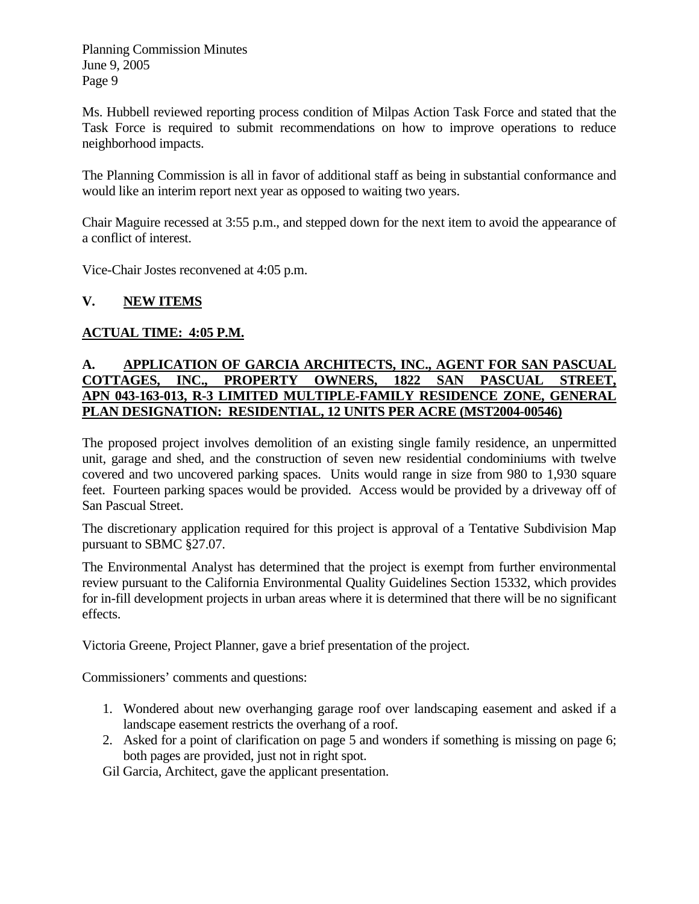Ms. Hubbell reviewed reporting process condition of Milpas Action Task Force and stated that the Task Force is required to submit recommendations on how to improve operations to reduce neighborhood impacts.

The Planning Commission is all in favor of additional staff as being in substantial conformance and would like an interim report next year as opposed to waiting two years.

Chair Maguire recessed at 3:55 p.m., and stepped down for the next item to avoid the appearance of a conflict of interest.

Vice-Chair Jostes reconvened at 4:05 p.m.

# **V. NEW ITEMS**

# **ACTUAL TIME: 4:05 P.M.**

### **A. APPLICATION OF GARCIA ARCHITECTS, INC., AGENT FOR SAN PASCUAL COTTAGES, INC., PROPERTY OWNERS, 1822 SAN PASCUAL STREET, APN 043-163-013, R-3 LIMITED MULTIPLE-FAMILY RESIDENCE ZONE, GENERAL PLAN DESIGNATION: RESIDENTIAL, 12 UNITS PER ACRE (MST2004-00546)**

The proposed project involves demolition of an existing single family residence, an unpermitted unit, garage and shed, and the construction of seven new residential condominiums with twelve covered and two uncovered parking spaces. Units would range in size from 980 to 1,930 square feet. Fourteen parking spaces would be provided. Access would be provided by a driveway off of San Pascual Street.

The discretionary application required for this project is approval of a Tentative Subdivision Map pursuant to SBMC §27.07.

The Environmental Analyst has determined that the project is exempt from further environmental review pursuant to the California Environmental Quality Guidelines Section 15332, which provides for in-fill development projects in urban areas where it is determined that there will be no significant effects.

Victoria Greene, Project Planner, gave a brief presentation of the project.

Commissioners' comments and questions:

- 1. Wondered about new overhanging garage roof over landscaping easement and asked if a landscape easement restricts the overhang of a roof.
- 2. Asked for a point of clarification on page 5 and wonders if something is missing on page 6; both pages are provided, just not in right spot.

Gil Garcia, Architect, gave the applicant presentation.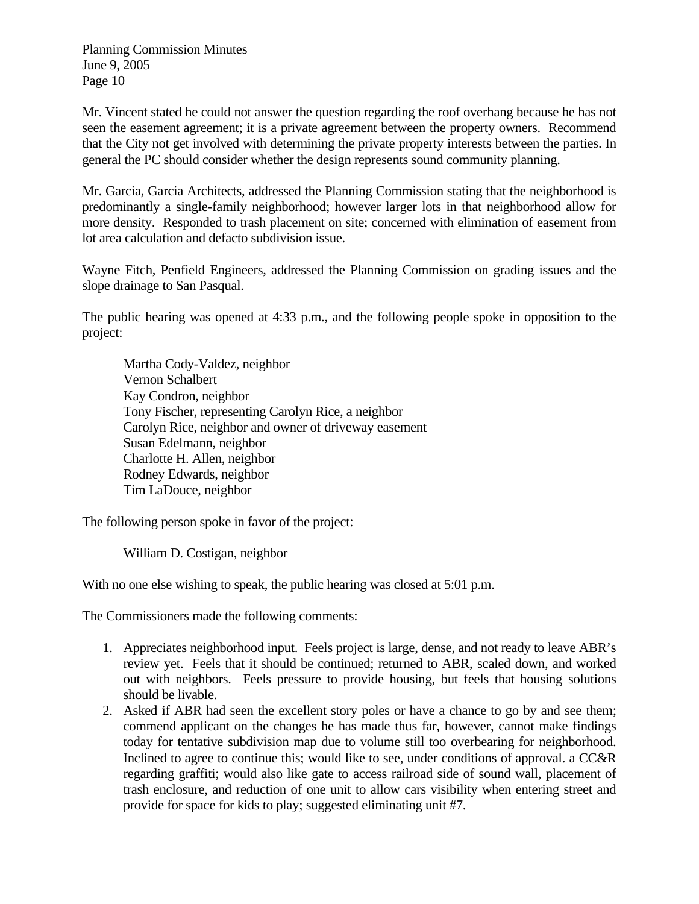Mr. Vincent stated he could not answer the question regarding the roof overhang because he has not seen the easement agreement; it is a private agreement between the property owners. Recommend that the City not get involved with determining the private property interests between the parties. In general the PC should consider whether the design represents sound community planning.

Mr. Garcia, Garcia Architects, addressed the Planning Commission stating that the neighborhood is predominantly a single-family neighborhood; however larger lots in that neighborhood allow for more density. Responded to trash placement on site; concerned with elimination of easement from lot area calculation and defacto subdivision issue.

Wayne Fitch, Penfield Engineers, addressed the Planning Commission on grading issues and the slope drainage to San Pasqual.

The public hearing was opened at 4:33 p.m., and the following people spoke in opposition to the project:

Martha Cody-Valdez, neighbor Vernon Schalbert Kay Condron, neighbor Tony Fischer, representing Carolyn Rice, a neighbor Carolyn Rice, neighbor and owner of driveway easement Susan Edelmann, neighbor Charlotte H. Allen, neighbor Rodney Edwards, neighbor Tim LaDouce, neighbor

The following person spoke in favor of the project:

William D. Costigan, neighbor

With no one else wishing to speak, the public hearing was closed at 5:01 p.m.

The Commissioners made the following comments:

- 1. Appreciates neighborhood input. Feels project is large, dense, and not ready to leave ABR's review yet. Feels that it should be continued; returned to ABR, scaled down, and worked out with neighbors. Feels pressure to provide housing, but feels that housing solutions should be livable.
- 2. Asked if ABR had seen the excellent story poles or have a chance to go by and see them; commend applicant on the changes he has made thus far, however, cannot make findings today for tentative subdivision map due to volume still too overbearing for neighborhood. Inclined to agree to continue this; would like to see, under conditions of approval. a CC&R regarding graffiti; would also like gate to access railroad side of sound wall, placement of trash enclosure, and reduction of one unit to allow cars visibility when entering street and provide for space for kids to play; suggested eliminating unit #7.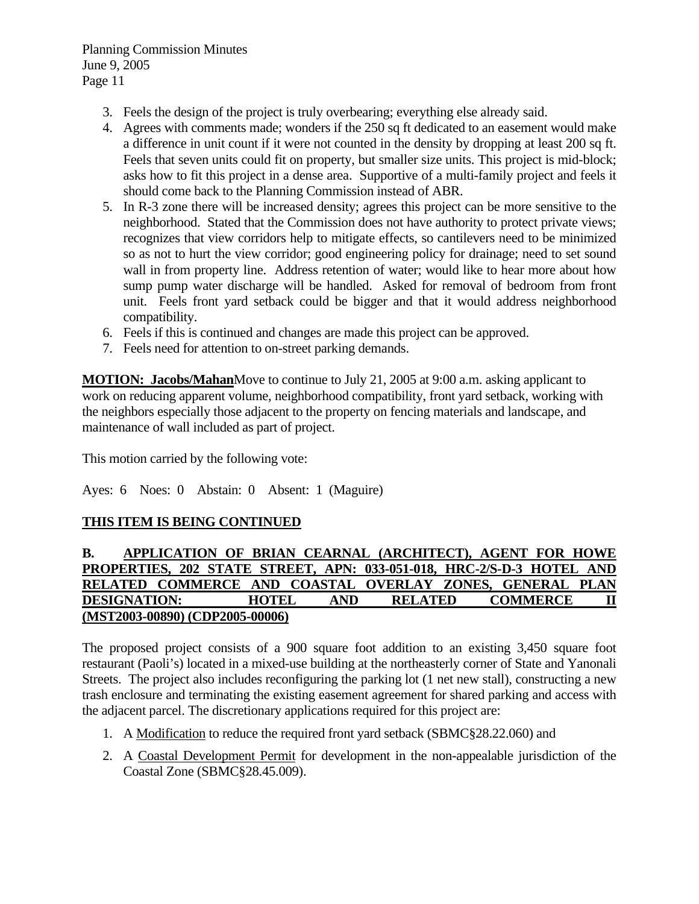- 3. Feels the design of the project is truly overbearing; everything else already said.
- 4. Agrees with comments made; wonders if the 250 sq ft dedicated to an easement would make a difference in unit count if it were not counted in the density by dropping at least 200 sq ft. Feels that seven units could fit on property, but smaller size units. This project is mid-block; asks how to fit this project in a dense area. Supportive of a multi-family project and feels it should come back to the Planning Commission instead of ABR.
- 5. In R-3 zone there will be increased density; agrees this project can be more sensitive to the neighborhood. Stated that the Commission does not have authority to protect private views; recognizes that view corridors help to mitigate effects, so cantilevers need to be minimized so as not to hurt the view corridor; good engineering policy for drainage; need to set sound wall in from property line. Address retention of water; would like to hear more about how sump pump water discharge will be handled. Asked for removal of bedroom from front unit. Feels front yard setback could be bigger and that it would address neighborhood compatibility.
- 6. Feels if this is continued and changes are made this project can be approved.
- 7. Feels need for attention to on-street parking demands.

**MOTION: Jacobs/Mahan**Move to continue to July 21, 2005 at 9:00 a.m. asking applicant to work on reducing apparent volume, neighborhood compatibility, front yard setback, working with the neighbors especially those adjacent to the property on fencing materials and landscape, and maintenance of wall included as part of project.

This motion carried by the following vote:

Ayes: 6 Noes: 0 Abstain: 0 Absent: 1 (Maguire)

#### **THIS ITEM IS BEING CONTINUED**

#### **B. APPLICATION OF BRIAN CEARNAL (ARCHITECT), AGENT FOR HOWE PROPERTIES, 202 STATE STREET, APN: 033-051-018, HRC-2/S-D-3 HOTEL AND RELATED COMMERCE AND COASTAL OVERLAY ZONES, GENERAL PLAN DESIGNATION: HOTEL AND RELATED COMMERCE II (MST2003-00890) (CDP2005-00006)**

The proposed project consists of a 900 square foot addition to an existing 3,450 square foot restaurant (Paoli's) located in a mixed-use building at the northeasterly corner of State and Yanonali Streets. The project also includes reconfiguring the parking lot (1 net new stall), constructing a new trash enclosure and terminating the existing easement agreement for shared parking and access with the adjacent parcel. The discretionary applications required for this project are:

- 1. A Modification to reduce the required front yard setback (SBMC§28.22.060) and
- 2. A Coastal Development Permit for development in the non-appealable jurisdiction of the Coastal Zone (SBMC§28.45.009).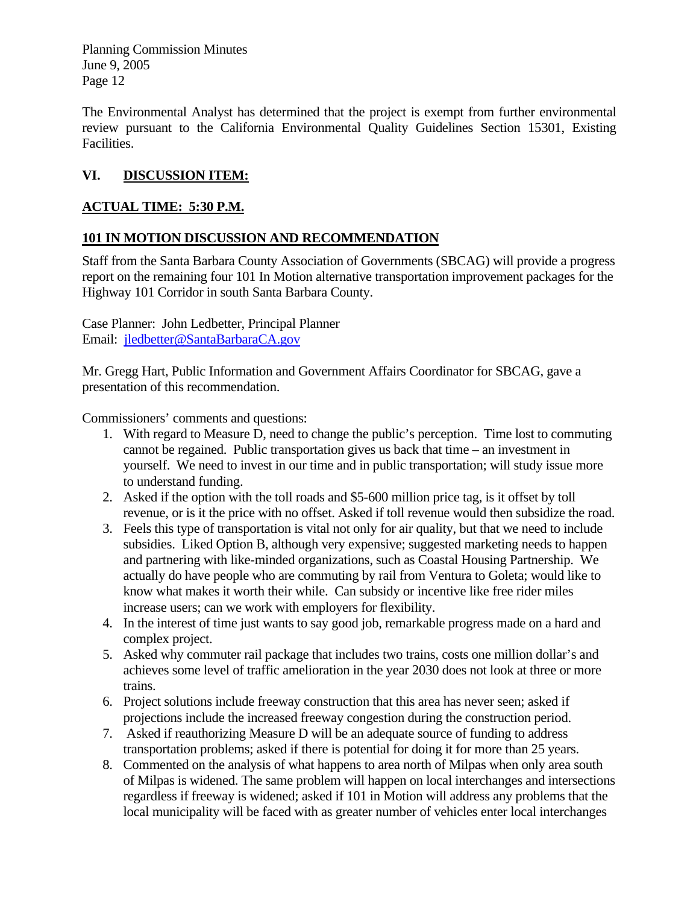The Environmental Analyst has determined that the project is exempt from further environmental review pursuant to the California Environmental Quality Guidelines Section 15301, Existing Facilities.

# **VI. DISCUSSION ITEM:**

# **ACTUAL TIME: 5:30 P.M.**

# **101 IN MOTION DISCUSSION AND RECOMMENDATION**

Staff from the Santa Barbara County Association of Governments (SBCAG) will provide a progress report on the remaining four 101 In Motion alternative transportation improvement packages for the Highway 101 Corridor in south Santa Barbara County.

Case Planner: John Ledbetter, Principal Planner Email: [jledbetter@SantaBarbaraCA.gov](mailto:jledbetter@SantaBarbaraCA.gov)

Mr. Gregg Hart, Public Information and Government Affairs Coordinator for SBCAG, gave a presentation of this recommendation.

- 1. With regard to Measure D, need to change the public's perception. Time lost to commuting cannot be regained. Public transportation gives us back that time – an investment in yourself. We need to invest in our time and in public transportation; will study issue more to understand funding.
- 2. Asked if the option with the toll roads and \$5-600 million price tag, is it offset by toll revenue, or is it the price with no offset. Asked if toll revenue would then subsidize the road.
- 3. Feels this type of transportation is vital not only for air quality, but that we need to include subsidies. Liked Option B, although very expensive; suggested marketing needs to happen and partnering with like-minded organizations, such as Coastal Housing Partnership. We actually do have people who are commuting by rail from Ventura to Goleta; would like to know what makes it worth their while. Can subsidy or incentive like free rider miles increase users; can we work with employers for flexibility.
- 4. In the interest of time just wants to say good job, remarkable progress made on a hard and complex project.
- 5. Asked why commuter rail package that includes two trains, costs one million dollar's and achieves some level of traffic amelioration in the year 2030 does not look at three or more trains.
- 6. Project solutions include freeway construction that this area has never seen; asked if projections include the increased freeway congestion during the construction period.
- 7. Asked if reauthorizing Measure D will be an adequate source of funding to address transportation problems; asked if there is potential for doing it for more than 25 years.
- 8. Commented on the analysis of what happens to area north of Milpas when only area south of Milpas is widened. The same problem will happen on local interchanges and intersections regardless if freeway is widened; asked if 101 in Motion will address any problems that the local municipality will be faced with as greater number of vehicles enter local interchanges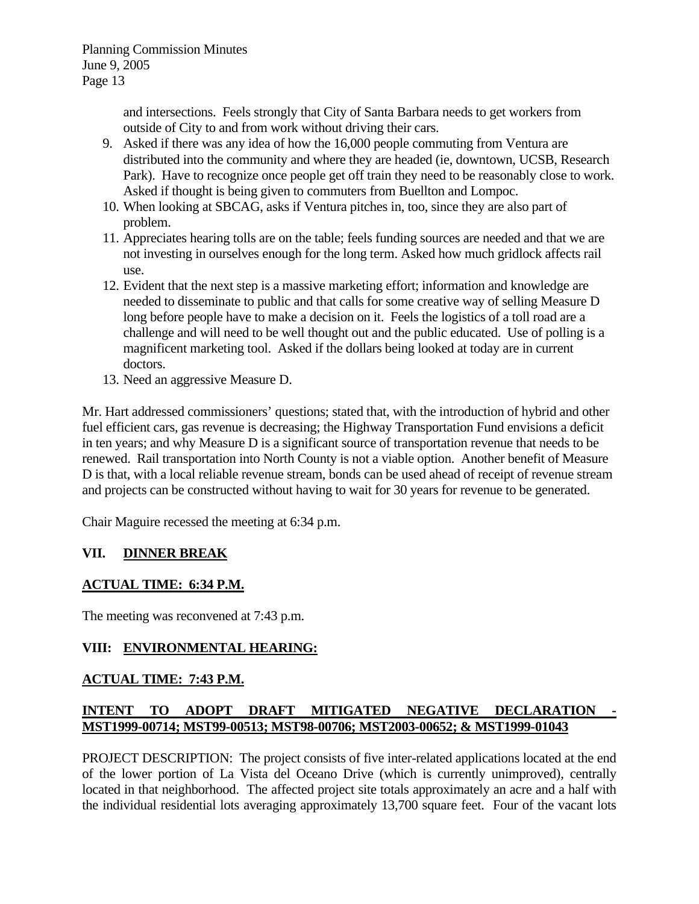and intersections. Feels strongly that City of Santa Barbara needs to get workers from outside of City to and from work without driving their cars.

- 9. Asked if there was any idea of how the 16,000 people commuting from Ventura are distributed into the community and where they are headed (ie, downtown, UCSB, Research Park). Have to recognize once people get off train they need to be reasonably close to work. Asked if thought is being given to commuters from Buellton and Lompoc.
- 10. When looking at SBCAG, asks if Ventura pitches in, too, since they are also part of problem.
- 11. Appreciates hearing tolls are on the table; feels funding sources are needed and that we are not investing in ourselves enough for the long term. Asked how much gridlock affects rail use.
- 12. Evident that the next step is a massive marketing effort; information and knowledge are needed to disseminate to public and that calls for some creative way of selling Measure D long before people have to make a decision on it. Feels the logistics of a toll road are a challenge and will need to be well thought out and the public educated. Use of polling is a magnificent marketing tool. Asked if the dollars being looked at today are in current doctors.
- 13. Need an aggressive Measure D.

Mr. Hart addressed commissioners' questions; stated that, with the introduction of hybrid and other fuel efficient cars, gas revenue is decreasing; the Highway Transportation Fund envisions a deficit in ten years; and why Measure D is a significant source of transportation revenue that needs to be renewed. Rail transportation into North County is not a viable option. Another benefit of Measure D is that, with a local reliable revenue stream, bonds can be used ahead of receipt of revenue stream and projects can be constructed without having to wait for 30 years for revenue to be generated.

Chair Maguire recessed the meeting at 6:34 p.m.

# **VII. DINNER BREAK**

# **ACTUAL TIME: 6:34 P.M.**

The meeting was reconvened at 7:43 p.m.

# **VIII: ENVIRONMENTAL HEARING:**

# **ACTUAL TIME: 7:43 P.M.**

# **INTENT TO ADOPT DRAFT MITIGATED NEGATIVE DECLARATION - MST1999-00714; MST99-00513; MST98-00706; MST2003-00652; & MST1999-01043**

PROJECT DESCRIPTION: The project consists of five inter-related applications located at the end of the lower portion of La Vista del Oceano Drive (which is currently unimproved), centrally located in that neighborhood. The affected project site totals approximately an acre and a half with the individual residential lots averaging approximately 13,700 square feet. Four of the vacant lots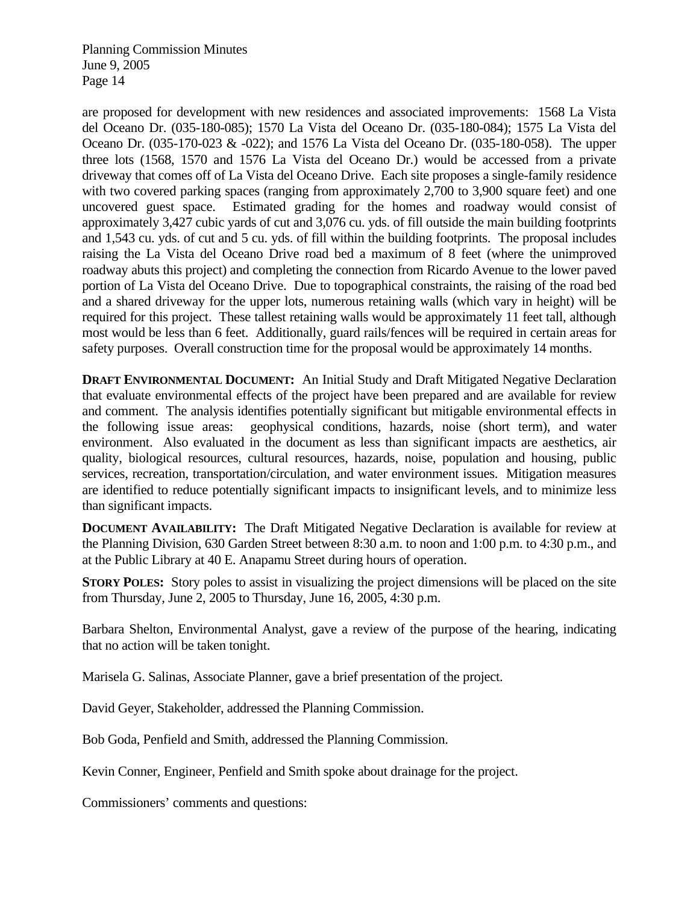are proposed for development with new residences and associated improvements: 1568 La Vista del Oceano Dr. (035-180-085); 1570 La Vista del Oceano Dr. (035-180-084); 1575 La Vista del Oceano Dr. (035-170-023 & -022); and 1576 La Vista del Oceano Dr. (035-180-058). The upper three lots (1568, 1570 and 1576 La Vista del Oceano Dr.) would be accessed from a private driveway that comes off of La Vista del Oceano Drive. Each site proposes a single-family residence with two covered parking spaces (ranging from approximately 2,700 to 3,900 square feet) and one uncovered guest space. Estimated grading for the homes and roadway would consist of approximately 3,427 cubic yards of cut and 3,076 cu. yds. of fill outside the main building footprints and 1,543 cu. yds. of cut and 5 cu. yds. of fill within the building footprints. The proposal includes raising the La Vista del Oceano Drive road bed a maximum of 8 feet (where the unimproved roadway abuts this project) and completing the connection from Ricardo Avenue to the lower paved portion of La Vista del Oceano Drive. Due to topographical constraints, the raising of the road bed and a shared driveway for the upper lots, numerous retaining walls (which vary in height) will be required for this project. These tallest retaining walls would be approximately 11 feet tall, although most would be less than 6 feet. Additionally, guard rails/fences will be required in certain areas for safety purposes. Overall construction time for the proposal would be approximately 14 months.

**DRAFT ENVIRONMENTAL DOCUMENT:** An Initial Study and Draft Mitigated Negative Declaration that evaluate environmental effects of the project have been prepared and are available for review and comment. The analysis identifies potentially significant but mitigable environmental effects in the following issue areas: geophysical conditions, hazards, noise (short term), and water environment. Also evaluated in the document as less than significant impacts are aesthetics, air quality, biological resources, cultural resources, hazards, noise, population and housing, public services, recreation, transportation/circulation, and water environment issues. Mitigation measures are identified to reduce potentially significant impacts to insignificant levels, and to minimize less than significant impacts.

**DOCUMENT AVAILABILITY:** The Draft Mitigated Negative Declaration is available for review at the Planning Division, 630 Garden Street between 8:30 a.m. to noon and 1:00 p.m. to 4:30 p.m., and at the Public Library at 40 E. Anapamu Street during hours of operation.

**STORY POLES:** Story poles to assist in visualizing the project dimensions will be placed on the site from Thursday, June 2, 2005 to Thursday, June 16, 2005, 4:30 p.m.

Barbara Shelton, Environmental Analyst, gave a review of the purpose of the hearing, indicating that no action will be taken tonight.

Marisela G. Salinas, Associate Planner, gave a brief presentation of the project.

David Geyer, Stakeholder, addressed the Planning Commission.

Bob Goda, Penfield and Smith, addressed the Planning Commission.

Kevin Conner, Engineer, Penfield and Smith spoke about drainage for the project.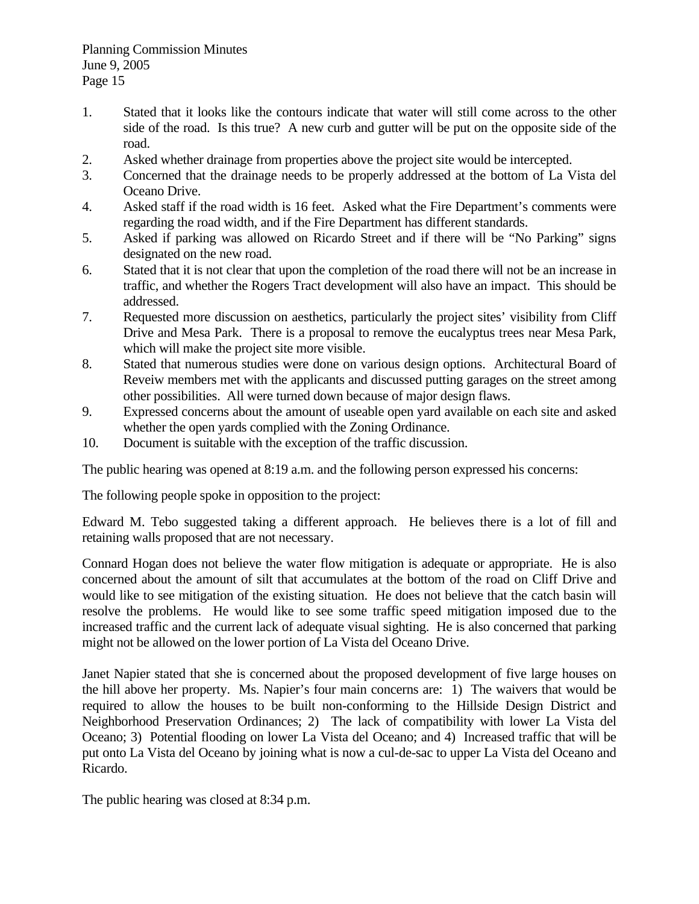- 1. Stated that it looks like the contours indicate that water will still come across to the other side of the road. Is this true? A new curb and gutter will be put on the opposite side of the road.
- 2. Asked whether drainage from properties above the project site would be intercepted.
- 3. Concerned that the drainage needs to be properly addressed at the bottom of La Vista del Oceano Drive.
- 4. Asked staff if the road width is 16 feet. Asked what the Fire Department's comments were regarding the road width, and if the Fire Department has different standards.
- 5. Asked if parking was allowed on Ricardo Street and if there will be "No Parking" signs designated on the new road.
- 6. Stated that it is not clear that upon the completion of the road there will not be an increase in traffic, and whether the Rogers Tract development will also have an impact. This should be addressed.
- 7. Requested more discussion on aesthetics, particularly the project sites' visibility from Cliff Drive and Mesa Park. There is a proposal to remove the eucalyptus trees near Mesa Park, which will make the project site more visible.
- 8. Stated that numerous studies were done on various design options. Architectural Board of Reveiw members met with the applicants and discussed putting garages on the street among other possibilities. All were turned down because of major design flaws.
- 9. Expressed concerns about the amount of useable open yard available on each site and asked whether the open yards complied with the Zoning Ordinance.
- 10. Document is suitable with the exception of the traffic discussion.

The public hearing was opened at 8:19 a.m. and the following person expressed his concerns:

The following people spoke in opposition to the project:

Edward M. Tebo suggested taking a different approach. He believes there is a lot of fill and retaining walls proposed that are not necessary.

Connard Hogan does not believe the water flow mitigation is adequate or appropriate. He is also concerned about the amount of silt that accumulates at the bottom of the road on Cliff Drive and would like to see mitigation of the existing situation. He does not believe that the catch basin will resolve the problems. He would like to see some traffic speed mitigation imposed due to the increased traffic and the current lack of adequate visual sighting. He is also concerned that parking might not be allowed on the lower portion of La Vista del Oceano Drive.

Janet Napier stated that she is concerned about the proposed development of five large houses on the hill above her property. Ms. Napier's four main concerns are: 1) The waivers that would be required to allow the houses to be built non-conforming to the Hillside Design District and Neighborhood Preservation Ordinances; 2) The lack of compatibility with lower La Vista del Oceano; 3) Potential flooding on lower La Vista del Oceano; and 4) Increased traffic that will be put onto La Vista del Oceano by joining what is now a cul-de-sac to upper La Vista del Oceano and Ricardo.

The public hearing was closed at 8:34 p.m.